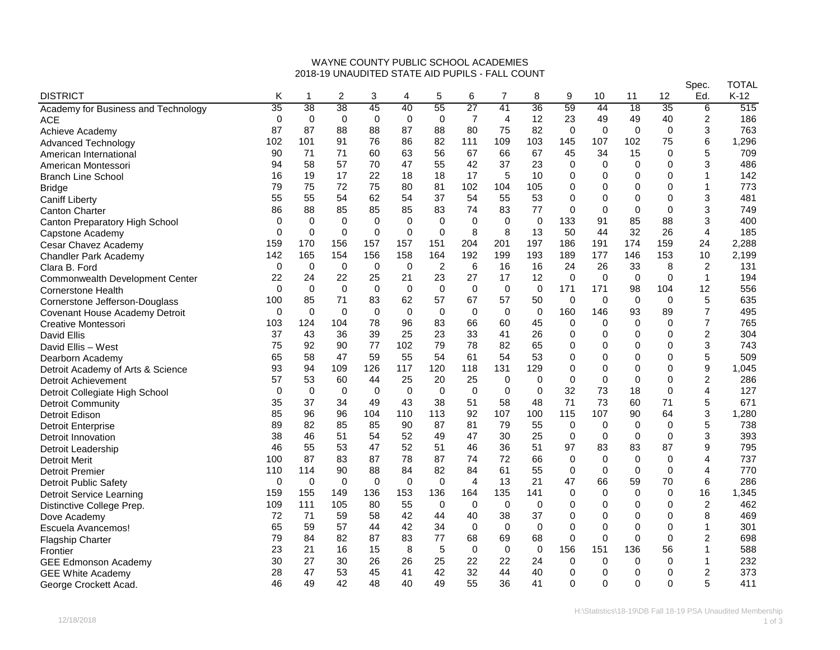## WAYNE COUNTY PUBLIC SCHOOL ACADEMIES 2018-19 UNAUDITED STATE AID PUPILS - FALL COUNT

|                                        |             |             |             |             |             |                |                 |                |             |             |             |             |              | Spec.          | TOTAL  |
|----------------------------------------|-------------|-------------|-------------|-------------|-------------|----------------|-----------------|----------------|-------------|-------------|-------------|-------------|--------------|----------------|--------|
| <b>DISTRICT</b>                        | Κ           | 1           | 2           | 3           | 4           | 5              | 6               | 7              | 8           | 9           | 10          | 11          | 12           | Ed.            | $K-12$ |
| Academy for Business and Technology    | 35          | 38          | 38          | 45          | 40          | 55             | $\overline{27}$ | 41             | 36          | 59          | 44          | 18          | 35           | 6              | 515    |
| <b>ACE</b>                             | $\Omega$    | 0           | $\mathbf 0$ | 0           | $\mathbf 0$ | $\mathbf 0$    | $\overline{7}$  | $\overline{4}$ | 12          | 23          | 49          | 49          | 40           | $\overline{c}$ | 186    |
| Achieve Academy                        | 87          | 87          | 88          | 88          | 87          | 88             | 80              | 75             | 82          | 0           | $\mathbf 0$ | 0           | $\mathbf 0$  | 3              | 763    |
| <b>Advanced Technology</b>             | 102         | 101         | 91          | 76          | 86          | 82             | 111             | 109            | 103         | 145         | 107         | 102         | 75           | 6              | 1,296  |
| American International                 | 90          | 71          | 71          | 60          | 63          | 56             | 67              | 66             | 67          | 45          | 34          | 15          | $\Omega$     | 5              | 709    |
| American Montessori                    | 94          | 58          | 57          | 70          | 47          | 55             | 42              | 37             | 23          | 0           | 0           | 0           | 0            | 3              | 486    |
| <b>Branch Line School</b>              | 16          | 19          | 17          | 22          | 18          | 18             | 17              | 5              | 10          | $\Omega$    | 0           | $\Omega$    | $\Omega$     | 1              | 142    |
| <b>Bridge</b>                          | 79          | 75          | 72          | 75          | 80          | 81             | 102             | 104            | 105         | $\Omega$    | 0           | $\mathbf 0$ | $\Omega$     | 1              | 773    |
| <b>Caniff Liberty</b>                  | 55          | 55          | 54          | 62          | 54          | 37             | 54              | 55             | 53          | $\mathbf 0$ | 0           | $\mathbf 0$ | $\Omega$     | 3              | 481    |
| <b>Canton Charter</b>                  | 86          | 88          | 85          | 85          | 85          | 83             | 74              | 83             | 77          | $\Omega$    | $\mathbf 0$ | $\mathbf 0$ | $\Omega$     | 3              | 749    |
| Canton Preparatory High School         | 0           | 0           | 0           | 0           | $\mathbf 0$ | $\Omega$       | 0               | 0              | $\mathbf 0$ | 133         | 91          | 85          | 88           | 3              | 400    |
| Capstone Academy                       | 0           | $\mathbf 0$ | $\mathbf 0$ | 0           | $\mathbf 0$ | $\mathbf 0$    | 8               | 8              | 13          | 50          | 44          | 32          | 26           | 4              | 185    |
| Cesar Chavez Academy                   | 159         | 170         | 156         | 157         | 157         | 151            | 204             | 201            | 197         | 186         | 191         | 174         | 159          | 24             | 2,288  |
| Chandler Park Academy                  | 142         | 165         | 154         | 156         | 158         | 164            | 192             | 199            | 193         | 189         | 177         | 146         | 153          | 10             | 2,199  |
| Clara B. Ford                          | 0           | $\mathbf 0$ | $\mathbf 0$ | 0           | $\mathbf 0$ | $\overline{2}$ | 6               | 16             | 16          | 24          | 26          | 33          | 8            | $\overline{2}$ | 131    |
| <b>Commonwealth Development Center</b> | 22          | 24          | 22          | 25          | 21          | 23             | 27              | 17             | 12          | $\Omega$    | 0           | $\mathbf 0$ | $\Omega$     | $\mathbf{1}$   | 194    |
| <b>Cornerstone Health</b>              | $\Omega$    | 0           | $\mathbf 0$ | 0           | $\mathbf 0$ | $\mathbf 0$    | 0               | 0              | $\mathbf 0$ | 171         | 171         | 98          | 104          | 12             | 556    |
| Cornerstone Jefferson-Douglass         | 100         | 85          | 71          | 83          | 62          | 57             | 67              | 57             | 50          | 0           | $\mathbf 0$ | $\mathbf 0$ | $\mathbf 0$  | 5              | 635    |
| Covenant House Academy Detroit         | 0           | $\mathbf 0$ | $\mathbf 0$ | $\mathbf 0$ | $\mathbf 0$ | $\mathbf 0$    | $\mathbf 0$     | $\mathbf 0$    | $\mathbf 0$ | 160         | 146         | 93          | 89           | $\overline{7}$ | 495    |
| Creative Montessori                    | 103         | 124         | 104         | 78          | 96          | 83             | 66              | 60             | 45          | 0           | 0           | $\Omega$    | $\Omega$     | $\overline{7}$ | 765    |
| David Ellis                            | 37          | 43          | 36          | 39          | 25          | 23             | 33              | 41             | 26          | $\mathbf 0$ | 0           | 0           | $\Omega$     | $\overline{c}$ | 304    |
| David Ellis - West                     | 75          | 92          | 90          | 77          | 102         | 79             | 78              | 82             | 65          | $\mathbf 0$ | 0           | $\mathbf 0$ | 0            | 3              | 743    |
| Dearborn Academy                       | 65          | 58          | 47          | 59          | 55          | 54             | 61              | 54             | 53          | $\Omega$    | 0           | 0           | 0            | 5              | 509    |
| Detroit Academy of Arts & Science      | 93          | 94          | 109         | 126         | 117         | 120            | 118             | 131            | 129         | 0           | 0           | 0           | 0            | 9              | 1,045  |
| <b>Detroit Achievement</b>             | 57          | 53          | 60          | 44          | 25          | 20             | 25              | 0              | $\mathbf 0$ | $\mathbf 0$ | $\mathbf 0$ | $\mathbf 0$ | $\Omega$     | $\overline{c}$ | 286    |
| Detroit Collegiate High School         | $\Omega$    | $\mathbf 0$ | $\mathbf 0$ | $\mathbf 0$ | $\mathbf 0$ | $\Omega$       | $\mathbf{0}$    | $\Omega$       | $\Omega$    | 32          | 73          | 18          | $\Omega$     | 4              | 127    |
| <b>Detroit Community</b>               | 35          | 37          | 34          | 49          | 43          | 38             | 51              | 58             | 48          | 71          | 73          | 60          | 71           | 5              | 671    |
| Detroit Edison                         | 85          | 96          | 96          | 104         | 110         | 113            | 92              | 107            | 100         | 115         | 107         | 90          | 64           | 3              | 1,280  |
| <b>Detroit Enterprise</b>              | 89          | 82          | 85          | 85          | 90          | 87             | 81              | 79             | 55          | 0           | 0           | $\mathbf 0$ | $\Omega$     | 5              | 738    |
| Detroit Innovation                     | 38          | 46          | 51          | 54          | 52          | 49             | 47              | 30             | 25          | 0           | 0           | $\mathbf 0$ | $\mathbf 0$  | 3              | 393    |
| Detroit Leadership                     | 46          | 55          | 53          | 47          | 52          | 51             | 46              | 36             | 51          | 97          | 83          | 83          | 87           | 9              | 795    |
| <b>Detroit Merit</b>                   | 100         | 87          | 83          | 87          | 78          | 87             | 74              | 72             | 66          | 0           | 0           | $\Omega$    | $\Omega$     | 4              | 737    |
| <b>Detroit Premier</b>                 | 110         | 114         | 90          | 88          | 84          | 82             | 84              | 61             | 55          | $\mathbf 0$ | $\mathbf 0$ | $\mathbf 0$ | $\Omega$     | 4              | 770    |
| <b>Detroit Public Safety</b>           | $\mathbf 0$ | 0           | $\Omega$    | $\mathbf 0$ | $\mathbf 0$ | $\Omega$       | $\overline{4}$  | 13             | 21          | 47          | 66          | 59          | 70           | 6              | 286    |
| <b>Detroit Service Learning</b>        | 159         | 155         | 149         | 136         | 153         | 136            | 164             | 135            | 141         | $\mathbf 0$ | $\Omega$    | 0           | $\Omega$     | 16             | 1,345  |
| Distinctive College Prep.              | 109         | 111         | 105         | 80          | 55          | $\mathbf 0$    | 0               | $\mathbf 0$    | $\mathbf 0$ | 0           | 0           | 0           | 0            | $\overline{c}$ | 462    |
| Dove Academy                           | 72          | 71          | 59          | 58          | 42          | 44             | 40              | 38             | 37          | $\mathbf 0$ | 0           | $\mathbf 0$ | $\mathbf{0}$ | 8              | 469    |
| Escuela Avancemos!                     | 65          | 59          | 57          | 44          | 42          | 34             | 0               | $\mathbf 0$    | $\mathbf 0$ | $\mathbf 0$ | 0           | $\mathbf 0$ | $\Omega$     | 1              | 301    |
| <b>Flagship Charter</b>                | 79          | 84          | 82          | 87          | 83          | 77             | 68              | 69             | 68          | $\mathbf 0$ | 0           | $\Omega$    | $\Omega$     | $\overline{2}$ | 698    |
| Frontier                               | 23          | 21          | 16          | 15          | 8           | 5              | $\Omega$        | $\mathbf 0$    | $\mathbf 0$ | 156         | 151         | 136         | 56           | 1              | 588    |
| <b>GEE Edmonson Academy</b>            | 30          | 27          | 30          | 26          | 26          | 25             | 22              | 22             | 24          | $\Omega$    | $\Omega$    | 0           | $\Omega$     | 1              | 232    |
| <b>GEE White Academy</b>               | 28          | 47          | 53          | 45          | 41          | 42             | 32              | 44             | 40          | 0           | 0           | 0           | $\Omega$     | 2              | 373    |
| George Crockett Acad.                  | 46          | 49          | 42          | 48          | 40          | 49             | 55              | 36             | 41          | $\mathbf 0$ | 0           | 0           | 0            | 5              | 411    |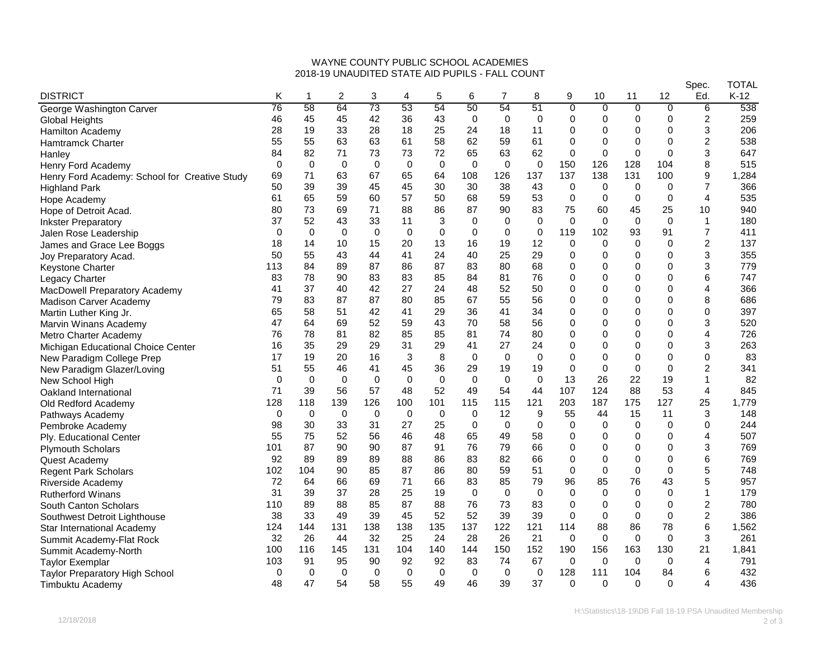## WAYNE COUNTY PUBLIC SCHOOL ACADEMIES 2018-19 UNAUDITED STATE AID PUPILS - FALL COUNT

|                                               |          |             |             |             |             |             |             |             |             |                |                |                |                | Spec.           | TOTAL  |
|-----------------------------------------------|----------|-------------|-------------|-------------|-------------|-------------|-------------|-------------|-------------|----------------|----------------|----------------|----------------|-----------------|--------|
| <b>DISTRICT</b>                               | Κ        | 1           | 2           | 3           | 4           | 5           | 6           | 7           | 8           | 9              | 10             | 11             | 12             | Ed.             | $K-12$ |
| George Washington Carver                      | 76       | 58          | 64          | 73          | 53          | 54          | 50          | 54          | 51          | $\overline{0}$ | $\overline{0}$ | $\overline{0}$ | $\overline{0}$ | $6\overline{6}$ | 538    |
| Global Heights                                | 46       | 45          | 45          | 42          | 36          | 43          | $\mathbf 0$ | 0           | 0           | $\Omega$       | 0              | 0              | 0              | 2               | 259    |
| <b>Hamilton Academy</b>                       | 28       | 19          | 33          | 28          | 18          | 25          | 24          | 18          | 11          | 0              | 0              | 0              | 0              | 3               | 206    |
| Hamtramck Charter                             | 55       | 55          | 63          | 63          | 61          | 58          | 62          | 59          | 61          | $\Omega$       | 0              | 0              | 0              | $\overline{2}$  | 538    |
| Hanley                                        | 84       | 82          | 71          | 73          | 73          | 72          | 65          | 63          | 62          | $\mathbf 0$    | $\mathbf 0$    | $\mathbf 0$    | 0              | 3               | 647    |
| Henry Ford Academy                            | 0        | 0           | 0           | 0           | 0           | $\mathbf 0$ | $\Omega$    | $\mathbf 0$ | $\mathbf 0$ | 150            | 126            | 128            | 104            | 8               | 515    |
| Henry Ford Academy: School for Creative Study | 69       | 71          | 63          | 67          | 65          | 64          | 108         | 126         | 137         | 137            | 138            | 131            | 100            | 9               | 1,284  |
| <b>Highland Park</b>                          | 50       | 39          | 39          | 45          | 45          | 30          | 30          | 38          | 43          | 0              | 0              | 0              | 0              | 7               | 366    |
| Hope Academy                                  | 61       | 65          | 59          | 60          | 57          | 50          | 68          | 59          | 53          | 0              | 0              | $\mathbf 0$    | 0              | 4               | 535    |
| Hope of Detroit Acad.                         | 80       | 73          | 69          | 71          | 88          | 86          | 87          | 90          | 83          | 75             | 60             | 45             | 25             | 10              | 940    |
| <b>Inkster Preparatory</b>                    | 37       | 52          | 43          | 33          | 11          | 3           | 0           | 0           | $\mathbf 0$ | 0              | $\mathbf 0$    | 0              | $\mathbf 0$    | 1               | 180    |
| Jalen Rose Leadership                         | $\Omega$ | 0           | 0           | $\mathbf 0$ | $\mathbf 0$ | $\Omega$    | $\Omega$    | 0           | $\mathbf 0$ | 119            | 102            | 93             | 91             | 7               | 411    |
| James and Grace Lee Boggs                     | 18       | 14          | 10          | 15          | 20          | 13          | 16          | 19          | 12          | $\Omega$       | $\mathbf 0$    | $\mathbf 0$    | $\Omega$       | $\overline{2}$  | 137    |
| Joy Preparatory Acad.                         | 50       | 55          | 43          | 44          | 41          | 24          | 40          | 25          | 29          | $\Omega$       | 0              | 0              | 0              | 3               | 355    |
| <b>Keystone Charter</b>                       | 113      | 84          | 89          | 87          | 86          | 87          | 83          | 80          | 68          | 0              | 0              | $\mathbf 0$    | 0              | 3               | 779    |
| Legacy Charter                                | 83       | 78          | 90          | 83          | 83          | 85          | 84          | 81          | 76          | $\mathbf 0$    | $\mathbf 0$    | $\mathsf 0$    | 0              | 6               | 747    |
| MacDowell Preparatory Academy                 | 41       | 37          | 40          | 42          | 27          | 24          | 48          | 52          | 50          | $\Omega$       | $\Omega$       | 0              | $\Omega$       | 4               | 366    |
| Madison Carver Academy                        | 79       | 83          | 87          | 87          | 80          | 85          | 67          | 55          | 56          | 0              | 0              | 0              | 0              | 8               | 686    |
| Martin Luther King Jr.                        | 65       | 58          | 51          | 42          | 41          | 29          | 36          | 41          | 34          | $\Omega$       | 0              | 0              | 0              | $\Omega$        | 397    |
| Marvin Winans Academy                         | 47       | 64          | 69          | 52          | 59          | 43          | 70          | 58          | 56          | $\Omega$       | 0              | 0              | 0              | 3               | 520    |
| Metro Charter Academy                         | 76       | 78          | 81          | 82          | 85          | 85          | 81          | 74          | 80          | 0              | 0              | 0              | 0              | 4               | 726    |
| Michigan Educational Choice Center            | 16       | 35          | 29          | 29          | 31          | 29          | 41          | 27          | 24          | $\mathbf 0$    | $\mathbf 0$    | $\mathsf 0$    | $\Omega$       | 3               | 263    |
| New Paradigm College Prep                     | 17       | 19          | 20          | 16          | 3           | 8           | 0           | $\mathbf 0$ | $\Omega$    | $\Omega$       | 0              | 0              | $\Omega$       | 0               | 83     |
| New Paradigm Glazer/Loving                    | 51       | 55          | 46          | 41          | 45          | 36          | 29          | 19          | 19          | 0              | 0              | $\mathbf 0$    | $\Omega$       | $\overline{2}$  | 341    |
| New School High                               | 0        | $\mathbf 0$ | $\mathbf 0$ | $\mathbf 0$ | $\mathbf 0$ | $\mathbf 0$ | $\Omega$    | $\mathbf 0$ | 0           | 13             | 26             | 22             | 19             | 1               | 82     |
| Oakland International                         | 71       | 39          | 56          | 57          | 48          | 52          | 49          | 54          | 44          | 107            | 124            | 88             | 53             | $\overline{4}$  | 845    |
| Old Redford Academy                           | 128      | 118         | 139         | 126         | 100         | 101         | 115         | 115         | 121         | 203            | 187            | 175            | 127            | 25              | 1,779  |
| Pathways Academy                              | $\Omega$ | $\Omega$    | $\Omega$    | $\Omega$    | $\Omega$    | $\Omega$    | $\Omega$    | 12          | 9           | 55             | 44             | 15             | 11             | 3               | 148    |
| Pembroke Academy                              | 98       | 30          | 33          | 31          | 27          | 25          | 0           | $\mathbf 0$ | $\Omega$    | $\Omega$       | 0              | 0              | $\Omega$       | 0               | 244    |
| Ply. Educational Center                       | 55       | 75          | 52          | 56          | 46          | 48          | 65          | 49          | 58          | 0              | 0              | $\mathbf 0$    | $\Omega$       | 4               | 507    |
| <b>Plymouth Scholars</b>                      | 101      | 87          | 90          | 90          | 87          | 91          | 76          | 79          | 66          | 0              | 0              | 0              | 0              | 3               | 769    |
| Quest Academy                                 | 92       | 89          | 89          | 89          | 88          | 86          | 83          | 82          | 66          | $\Omega$       | 0              | 0              | 0              | 6               | 769    |
| <b>Regent Park Scholars</b>                   | 102      | 104         | 90          | 85          | 87          | 86          | 80          | 59          | 51          | $\mathbf 0$    | $\mathbf 0$    | 0              | $\Omega$       | 5               | 748    |
| Riverside Academy                             | 72       | 64          | 66          | 69          | 71          | 66          | 83          | 85          | 79          | 96             | 85             | 76             | 43             | 5               | 957    |
| <b>Rutherford Winans</b>                      | 31       | 39          | 37          | 28          | 25          | 19          | $\mathbf 0$ | $\mathbf 0$ | 0           | $\Omega$       | 0              | $\mathbf 0$    | $\Omega$       | 1               | 179    |
| South Canton Scholars                         | 110      | 89          | 88          | 85          | 87          | 88          | 76          | 73          | 83          | 0              | $\mathbf 0$    | $\mathbf 0$    | $\Omega$       | 2               | 780    |
| Southwest Detroit Lighthouse                  | 38       | 33          | 49          | 39          | 45          | 52          | 52          | 39          | 39          | $\mathbf 0$    | $\mathbf 0$    | 0              | $\Omega$       | $\overline{c}$  | 386    |
| Star International Academy                    | 124      | 144         | 131         | 138         | 138         | 135         | 137         | 122         | 121         | 114            | 88             | 86             | 78             | 6               | 1,562  |
| Summit Academy-Flat Rock                      | 32       | 26          | 44          | 32          | 25          | 24          | 28          | 26          | 21          | 0              | $\mathbf 0$    | 0              | 0              | 3               | 261    |
| Summit Academy-North                          | 100      | 116         | 145         | 131         | 104         | 140         | 144         | 150         | 152         | 190            | 156            | 163            | 130            | 21              | 1.841  |
| <b>Taylor Exemplar</b>                        | 103      | 91          | 95          | 90          | 92          | 92          | 83          | 74          | 67          | 0              | $\mathbf 0$    | 0              | 0              | 4               | 791    |
| <b>Taylor Preparatory High School</b>         | 0        | 0           | 0           | 0           | 0           | $\mathbf 0$ | $\mathbf 0$ | 0           | 0           | 128            | 111            | 104            | 84             | 6               | 432    |
| Timbuktu Academy                              | 48       | 47          | 54          | 58          | 55          | 49          | 46          | 39          | 37          | $\Omega$       | $\Omega$       | $\Omega$       | $\Omega$       | 4               | 436    |